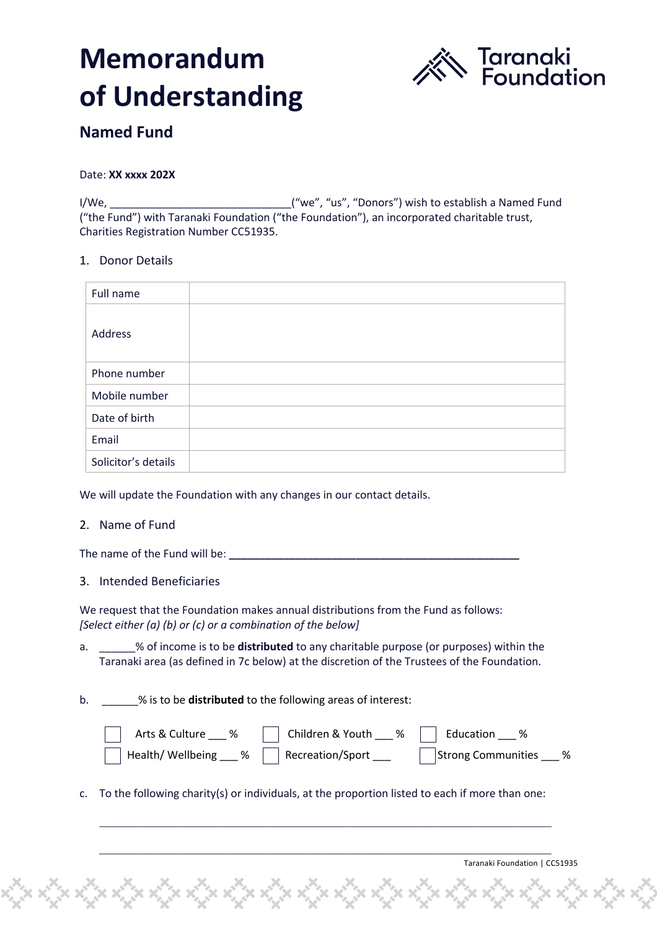# **Memorandum of Understanding**



# **Named Fund**

Date: **XX xxxx 202X**

I/We, \_\_\_\_\_\_\_\_\_\_\_\_\_\_\_\_\_\_\_\_\_\_\_\_\_\_\_\_\_\_("we", "us", "Donors") wish to establish a Named Fund ("the Fund") with Taranaki Foundation ("the Foundation"), an incorporated charitable trust, Charities Registration Number CC51935.

## 1. Donor Details

| Full name           |  |
|---------------------|--|
| Address             |  |
| Phone number        |  |
| Mobile number       |  |
| Date of birth       |  |
| Email               |  |
| Solicitor's details |  |

We will update the Foundation with any changes in our contact details.

# 2. Name of Fund

The name of the Fund will be: **We have all the set of the Fund will be:** 

## 3. Intended Beneficiaries

We request that the Foundation makes annual distributions from the Fund as follows: *[Select either (a) (b) or (c) or a combination of the below]*

- a. \_\_\_\_\_\_% of income is to be **distributed** to any charitable purpose (or purposes) within the Taranaki area (as defined in 7c below) at the discretion of the Trustees of the Foundation.
- b. \_\_\_\_\_\_% is to be **distributed** to the following areas of interest:

| Arts & Culture ___ %                           | Children & Youth ___ %   Education ___ % |                          |
|------------------------------------------------|------------------------------------------|--------------------------|
| Health/ Wellbeing ___ %   Recreation/Sport ___ |                                          | Strong Communities ___ % |

c. To the following charity(s) or individuals, at the proportion listed to each if more than one:

\_\_\_\_\_\_\_\_\_\_\_\_\_\_\_\_\_\_\_\_\_\_\_\_\_\_\_\_\_\_\_\_\_\_\_\_\_\_\_\_\_\_\_\_\_\_\_\_\_\_\_\_\_\_\_\_\_\_\_\_\_\_\_\_\_\_\_\_\_\_\_\_\_\_\_\_\_\_

 $\_$  , and the set of the set of the set of the set of the set of the set of the set of the set of the set of the set of the set of the set of the set of the set of the set of the set of the set of the set of the set of th

Taranaki Foundation | CC51935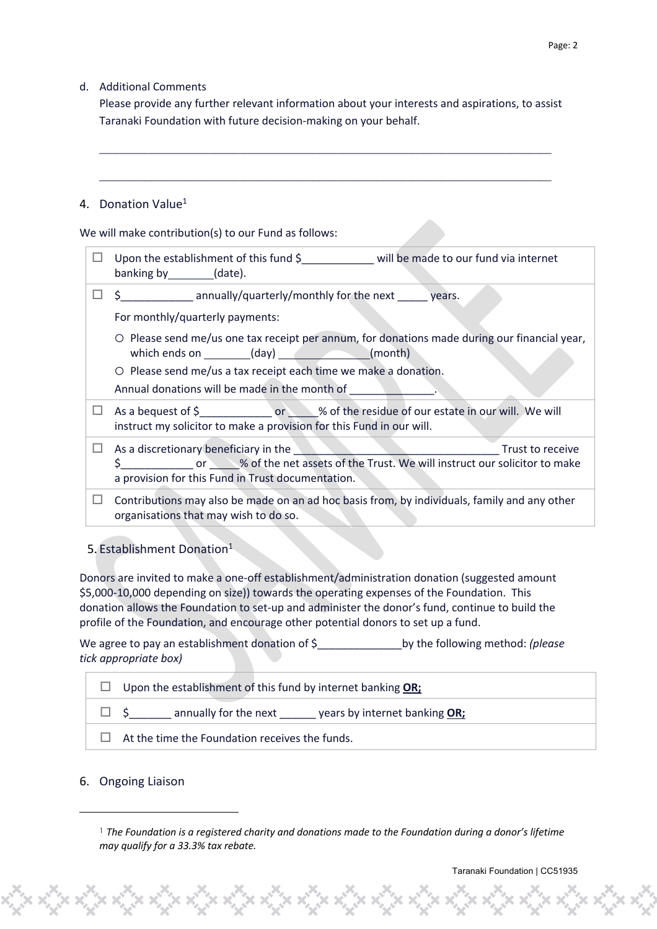# d. Additional Comments

Please provide any further relevant information about your interests and aspirations, to assist Taranaki Foundation with future decision-making on your behalf.

 $\_$  , and the set of the set of the set of the set of the set of the set of the set of the set of the set of the set of the set of the set of the set of the set of the set of the set of the set of the set of the set of th

 $\_$  , and the set of the set of the set of the set of the set of the set of the set of the set of the set of the set of the set of the set of the set of the set of the set of the set of the set of the set of the set of th

## 4. Donation Value<sup>1</sup>

We will make contribution(s) to our Fund as follows:

|   | Upon the establishment of this fund $\frac{1}{2}$ will be made to our fund via internet<br>banking by ________(date).                                                                                |  |  |
|---|------------------------------------------------------------------------------------------------------------------------------------------------------------------------------------------------------|--|--|
|   | $\Box$ \$ _______________ annually/quarterly/monthly for the next _______ years.                                                                                                                     |  |  |
|   | For monthly/quarterly payments:                                                                                                                                                                      |  |  |
|   | O Please send me/us one tax receipt per annum, for donations made during our financial year,<br>which ends on __________(day) _________________(month)                                               |  |  |
|   | $\circ$ Please send me/us a tax receipt each time we make a donation.                                                                                                                                |  |  |
|   | Annual donations will be made in the month of                                                                                                                                                        |  |  |
|   | As a bequest of \$<br>instruct my solicitor to make a provision for this Fund in our will.                                                                                                           |  |  |
| ш | As a discretionary beneficiary in the Trust to receive<br>\$ 000 or 30 % of the net assets of the Trust. We will instruct our solicitor to make<br>a provision for this Fund in Trust documentation. |  |  |
| H | Contributions may also be made on an ad hoc basis from, by individuals, family and any other<br>organisations that may wish to do so.                                                                |  |  |

# 5. Establishment Donation<sup>1</sup>

Donors are invited to make a one-off establishment/administration donation (suggested amount \$5,000-10,000 depending on size)) towards the operating expenses of the Foundation. This donation allows the Foundation to set-up and administer the donor's fund, continue to build the profile of the Foundation, and encourage other potential donors to set up a fund.

We agree to pay an establishment donation of \$\_\_\_\_\_\_\_\_\_\_\_\_\_\_by the following method: *(please tick appropriate box)*

| Upon the establishment of this fund by internet banking OR; |  |  |  |
|-------------------------------------------------------------|--|--|--|
| annually for the next<br>years by internet banking OR;      |  |  |  |
| At the time the Foundation receives the funds.              |  |  |  |

## 6. Ongoing Liaison

<sup>1</sup> *The Foundation is a registered charity and donations made to the Foundation during a donor's lifetime may qualify for a 33.3% tax rebate.*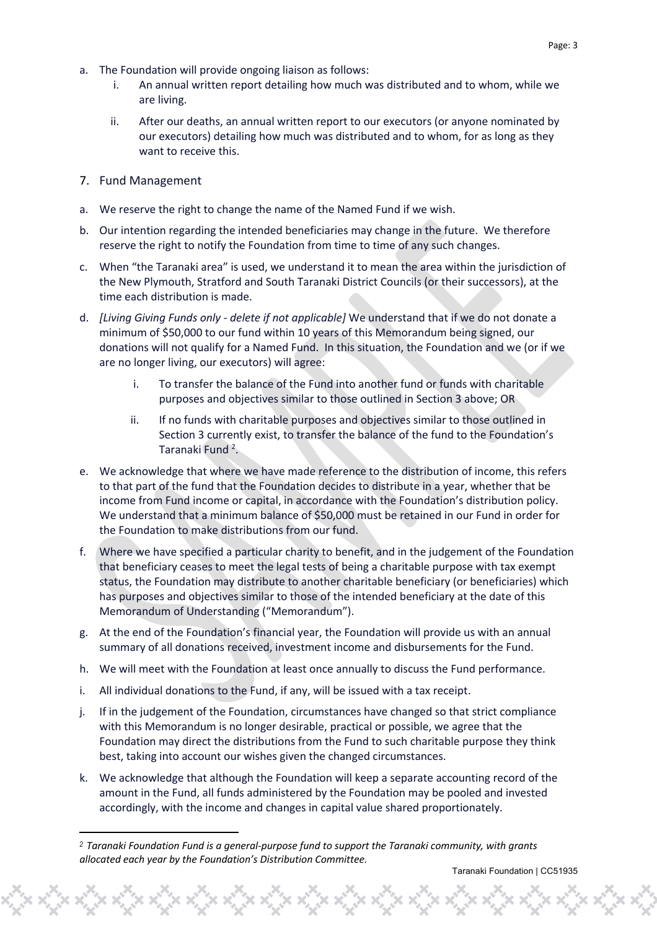- a. The Foundation will provide ongoing liaison as follows:
	- i. An annual written report detailing how much was distributed and to whom, while we are living.
	- ii. After our deaths, an annual written report to our executors (or anyone nominated by our executors) detailing how much was distributed and to whom, for as long as they want to receive this.
- 7. Fund Management
- a. We reserve the right to change the name of the Named Fund if we wish.
- b. Our intention regarding the intended beneficiaries may change in the future. We therefore reserve the right to notify the Foundation from time to time of any such changes.
- c. When "the Taranaki area" is used, we understand it to mean the area within the jurisdiction of the New Plymouth, Stratford and South Taranaki District Councils (or their successors), at the time each distribution is made.
- d. *[Living Giving Funds only - delete if not applicable]* We understand that if we do not donate a minimum of \$50,000 to our fund within 10 years of this Memorandum being signed, our donations will not qualify for a Named Fund. In this situation, the Foundation and we (or if we are no longer living, our executors) will agree:
	- i. To transfer the balance of the Fund into another fund or funds with charitable purposes and objectives similar to those outlined in Section 3 above; OR
	- ii. If no funds with charitable purposes and objectives similar to those outlined in Section 3 currently exist, to transfer the balance of the fund to the Foundation's Taranaki Fund<sup>2</sup>.
- e. We acknowledge that where we have made reference to the distribution of income, this refers to that part of the fund that the Foundation decides to distribute in a year, whether that be income from Fund income or capital, in accordance with the Foundation's distribution policy. We understand that a minimum balance of \$50,000 must be retained in our Fund in order for the Foundation to make distributions from our fund.
- f. Where we have specified a particular charity to benefit, and in the judgement of the Foundation that beneficiary ceases to meet the legal tests of being a charitable purpose with tax exempt status, the Foundation may distribute to another charitable beneficiary (or beneficiaries) which has purposes and objectives similar to those of the intended beneficiary at the date of this Memorandum of Understanding ("Memorandum").
- g. At the end of the Foundation's financial year, the Foundation will provide us with an annual summary of all donations received, investment income and disbursements for the Fund.
- h. We will meet with the Foundation at least once annually to discuss the Fund performance.
- i. All individual donations to the Fund, if any, will be issued with a tax receipt.
- j. If in the judgement of the Foundation, circumstances have changed so that strict compliance with this Memorandum is no longer desirable, practical or possible, we agree that the Foundation may direct the distributions from the Fund to such charitable purpose they think best, taking into account our wishes given the changed circumstances.
- k. We acknowledge that although the Foundation will keep a separate accounting record of the amount in the Fund, all funds administered by the Foundation may be pooled and invested accordingly, with the income and changes in capital value shared proportionately.

*<sup>2</sup> Taranaki Foundation Fund is a general-purpose fund to support the Taranaki community, with grants allocated each year by the Foundation's Distribution Committee.*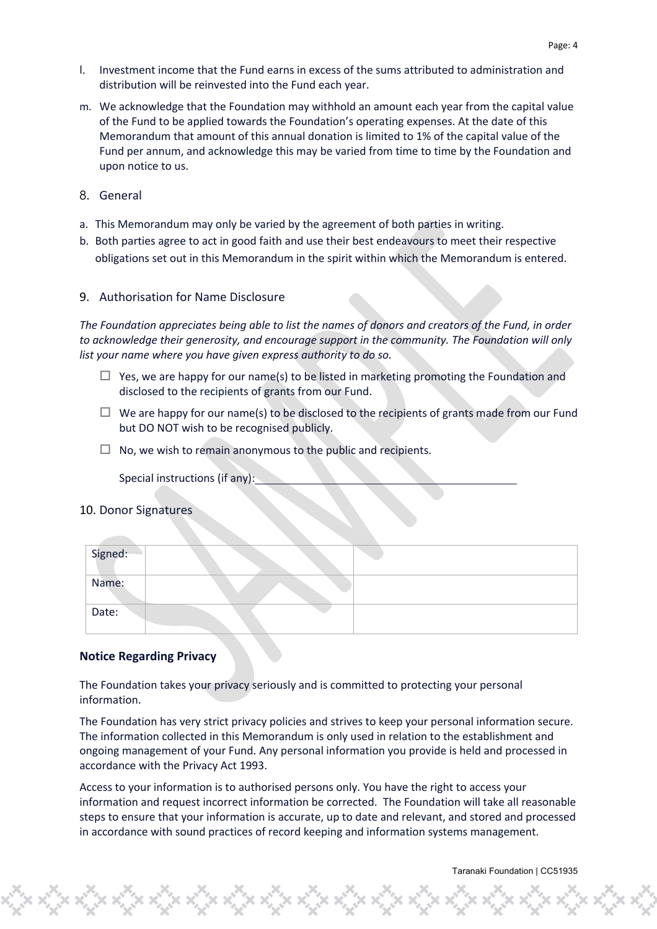- l. Investment income that the Fund earns in excess of the sums attributed to administration and distribution will be reinvested into the Fund each year.
- m. We acknowledge that the Foundation may withhold an amount each year from the capital value of the Fund to be applied towards the Foundation's operating expenses. At the date of this Memorandum that amount of this annual donation is limited to 1% of the capital value of the Fund per annum, and acknowledge this may be varied from time to time by the Foundation and upon notice to us.
- 8. General
- a. This Memorandum may only be varied by the agreement of both parties in writing.
- b. Both parties agree to act in good faith and use their best endeavours to meet their respective obligations set out in this Memorandum in the spirit within which the Memorandum is entered.

#### 9. Authorisation for Name Disclosure

*The Foundation appreciates being able to list the names of donors and creators of the Fund, in order to acknowledge their generosity, and encourage support in the community. The Foundation will only list your name where you have given express authority to do so.* 

- $\Box$  Yes, we are happy for our name(s) to be listed in marketing promoting the Foundation and disclosed to the recipients of grants from our Fund.
- $\Box$  We are happy for our name(s) to be disclosed to the recipients of grants made from our Fund but DO NOT wish to be recognised publicly.
- $\Box$  No, we wish to remain anonymous to the public and recipients.

Special instructions (if any):

#### 10. Donor Signatures

| Signed: |  |
|---------|--|
| Name:   |  |
| Date:   |  |

#### **Notice Regarding Privacy**

The Foundation takes your privacy seriously and is committed to protecting your personal information.

The Foundation has very strict privacy policies and strives to keep your personal information secure. The information collected in this Memorandum is only used in relation to the establishment and ongoing management of your Fund. Any personal information you provide is held and processed in accordance with the Privacy Act 1993.

Access to your information is to authorised persons only. You have the right to access your information and request incorrect information be corrected. The Foundation will take all reasonable steps to ensure that your information is accurate, up to date and relevant, and stored and processed in accordance with sound practices of record keeping and information systems management.